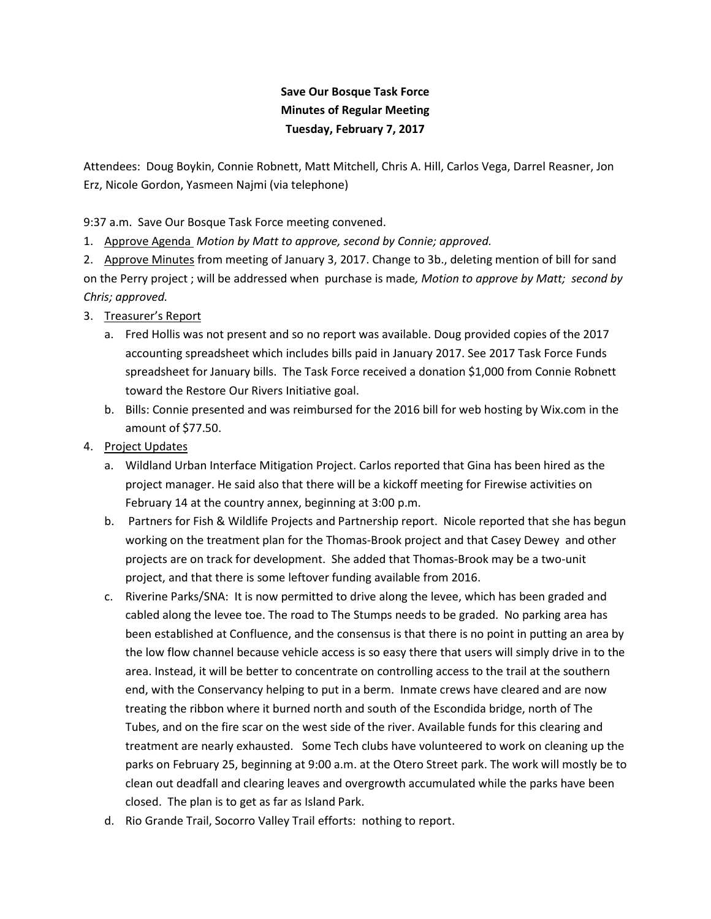## **Save Our Bosque Task Force Minutes of Regular Meeting Tuesday, February 7, 2017**

Attendees: Doug Boykin, Connie Robnett, Matt Mitchell, Chris A. Hill, Carlos Vega, Darrel Reasner, Jon Erz, Nicole Gordon, Yasmeen Najmi (via telephone)

9:37 a.m. Save Our Bosque Task Force meeting convened.

1. Approve Agenda *Motion by Matt to approve, second by Connie; approved.* 

2. Approve Minutes from meeting of January 3, 2017. Change to 3b., deleting mention of bill for sand on the Perry project ; will be addressed when purchase is made*, Motion to approve by Matt; second by Chris; approved.* 

## 3. Treasurer's Report

- a. Fred Hollis was not present and so no report was available. Doug provided copies of the 2017 accounting spreadsheet which includes bills paid in January 2017. See 2017 Task Force Funds spreadsheet for January bills. The Task Force received a donation \$1,000 from Connie Robnett toward the Restore Our Rivers Initiative goal.
- b. Bills: Connie presented and was reimbursed for the 2016 bill for web hosting by Wix.com in the amount of \$77.50.
- 4. Project Updates
	- a. Wildland Urban Interface Mitigation Project. Carlos reported that Gina has been hired as the project manager. He said also that there will be a kickoff meeting for Firewise activities on February 14 at the country annex, beginning at 3:00 p.m.
	- b. Partners for Fish & Wildlife Projects and Partnership report. Nicole reported that she has begun working on the treatment plan for the Thomas-Brook project and that Casey Dewey and other projects are on track for development. She added that Thomas-Brook may be a two-unit project, and that there is some leftover funding available from 2016.
	- c. Riverine Parks/SNA: It is now permitted to drive along the levee, which has been graded and cabled along the levee toe. The road to The Stumps needs to be graded. No parking area has been established at Confluence, and the consensus is that there is no point in putting an area by the low flow channel because vehicle access is so easy there that users will simply drive in to the area. Instead, it will be better to concentrate on controlling access to the trail at the southern end, with the Conservancy helping to put in a berm. Inmate crews have cleared and are now treating the ribbon where it burned north and south of the Escondida bridge, north of The Tubes, and on the fire scar on the west side of the river. Available funds for this clearing and treatment are nearly exhausted. Some Tech clubs have volunteered to work on cleaning up the parks on February 25, beginning at 9:00 a.m. at the Otero Street park. The work will mostly be to clean out deadfall and clearing leaves and overgrowth accumulated while the parks have been closed. The plan is to get as far as Island Park.
	- d. Rio Grande Trail, Socorro Valley Trail efforts: nothing to report.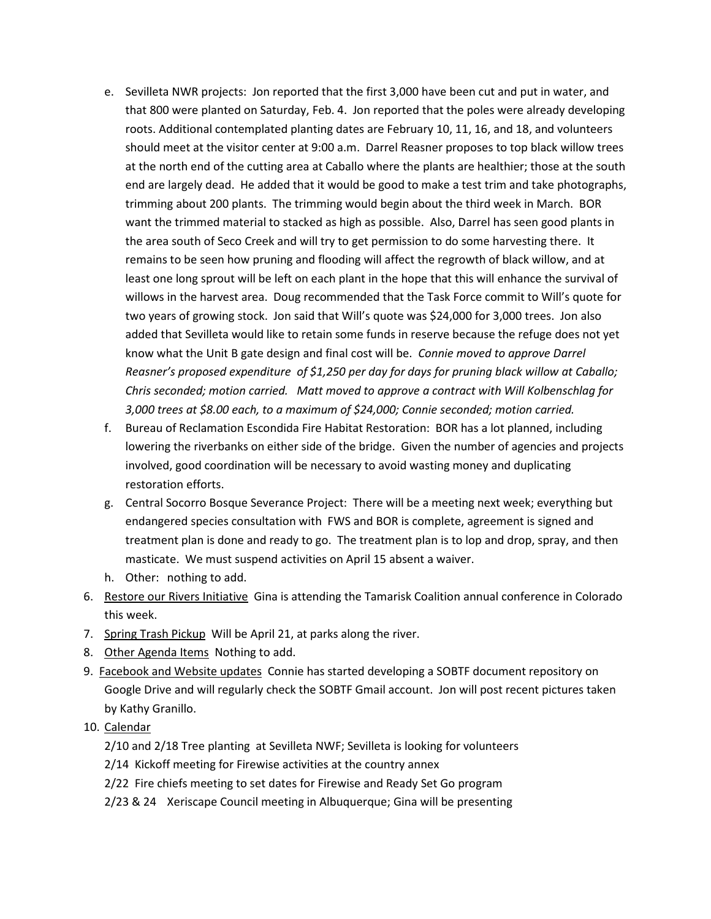- e. Sevilleta NWR projects: Jon reported that the first 3,000 have been cut and put in water, and that 800 were planted on Saturday, Feb. 4. Jon reported that the poles were already developing roots. Additional contemplated planting dates are February 10, 11, 16, and 18, and volunteers should meet at the visitor center at 9:00 a.m. Darrel Reasner proposes to top black willow trees at the north end of the cutting area at Caballo where the plants are healthier; those at the south end are largely dead. He added that it would be good to make a test trim and take photographs, trimming about 200 plants. The trimming would begin about the third week in March. BOR want the trimmed material to stacked as high as possible. Also, Darrel has seen good plants in the area south of Seco Creek and will try to get permission to do some harvesting there. It remains to be seen how pruning and flooding will affect the regrowth of black willow, and at least one long sprout will be left on each plant in the hope that this will enhance the survival of willows in the harvest area. Doug recommended that the Task Force commit to Will's quote for two years of growing stock. Jon said that Will's quote was \$24,000 for 3,000 trees. Jon also added that Sevilleta would like to retain some funds in reserve because the refuge does not yet know what the Unit B gate design and final cost will be. *Connie moved to approve Darrel Reasner's proposed expenditure of \$1,250 per day for days for pruning black willow at Caballo; Chris seconded; motion carried. Matt moved to approve a contract with Will Kolbenschlag for 3,000 trees at \$8.00 each, to a maximum of \$24,000; Connie seconded; motion carried.*
- f. Bureau of Reclamation Escondida Fire Habitat Restoration: BOR has a lot planned, including lowering the riverbanks on either side of the bridge. Given the number of agencies and projects involved, good coordination will be necessary to avoid wasting money and duplicating restoration efforts.
- g. Central Socorro Bosque Severance Project: There will be a meeting next week; everything but endangered species consultation with FWS and BOR is complete, agreement is signed and treatment plan is done and ready to go. The treatment plan is to lop and drop, spray, and then masticate. We must suspend activities on April 15 absent a waiver.
- h. Other: nothing to add.
- 6. Restore our Rivers Initiative Gina is attending the Tamarisk Coalition annual conference in Colorado this week.
- 7. Spring Trash Pickup Will be April 21, at parks along the river.
- 8. Other Agenda Items Nothing to add.
- 9. Facebook and Website updates Connie has started developing a SOBTF document repository on Google Drive and will regularly check the SOBTF Gmail account. Jon will post recent pictures taken by Kathy Granillo.
- 10. Calendar
	- 2/10 and 2/18 Tree planting at Sevilleta NWF; Sevilleta is looking for volunteers
	- 2/14 Kickoff meeting for Firewise activities at the country annex
	- 2/22 Fire chiefs meeting to set dates for Firewise and Ready Set Go program
	- 2/23 & 24 Xeriscape Council meeting in Albuquerque; Gina will be presenting